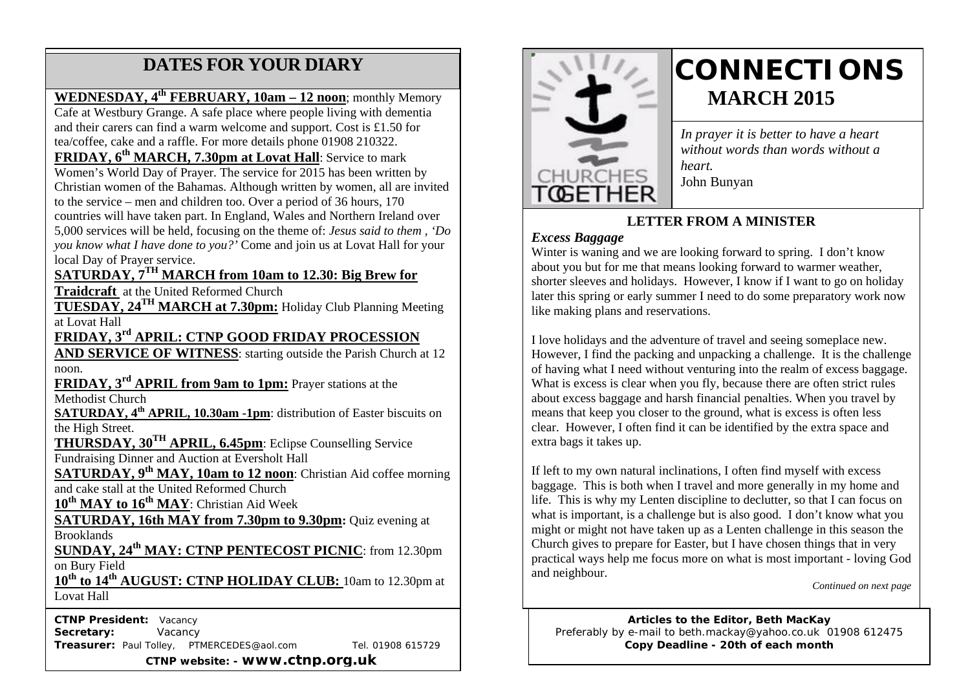## **DATES FOR YOUR DIARY**

#### **WEDNESDAY, 4th FEBRUARY, 10am – 12 noon**; monthly Memory

 tea/coffee, cake and a raffle. For more details phone 01908 210322. Cafe at Westbury Grange. A safe place where people living with dementia and their carers can find a warm welcome and support. Cost is £1.50 for

Women's World Day of Prayer. The service for 2015 has been written by **FRIDAY, 6th MARCH, 7.30pm at Lovat Hall**: Service to mark Christian women of the Bahamas. Although written by women, all are invited to the service – men and children too. Over a period of 36 hours, 170 countries will have taken part. In England, Wales and Northern Ireland over 5,000 services will be held, focusing on the theme of: *Jesus said to them , 'Do you know what I have done to you?'* Come and join us at Lovat Hall for your local Day of Prayer service.

## **SATURDAY, 7TH MARCH from 10am to 12.30: Big Brew for**

**Traidcraft** at the United Reformed Church

**TUESDAY, 24TH MARCH at 7.30pm:** Holiday Club Planning Meeting at Lovat Hall

**FRIDAY, 3rd APRIL: CTNP GOOD FRIDAY PROCESSION** 

**AND SERVICE OF WITNESS:** starting outside the Parish Church at 12 noon.

**FRIDAY, 3rd APRIL from 9am to 1pm:** Prayer stations at the Methodist Church

**SATURDAY, 4th APRIL, 10.30am -1pm**: distribution of Easter biscuits on the High Street.

**THURSDAY, 30TH APRIL, 6.45pm**: Eclipse Counselling Service Fundraising Dinner and Auction at Eversholt Hall

**SATURDAY, 9<sup>th</sup> MAY, 10am to 12 noon:** Christian Aid coffee morning and cake stall at the United Reformed Church

**10th MAY to 16th MAY**: Christian Aid Week

**SATURDAY, 16th MAY from 7.30pm to 9.30pm:** Quiz evening at **Brooklands** 

**SUNDAY, 24th MAY: CTNP PENTECOST PICNIC**: from 12.30pm on Bury Field

**10th to 14th AUGUST: CTNP HOLIDAY CLUB:** 10am to 12.30pm at Lovat Hall

 **CTNP President:** Vacancy **Secretary:** Vacancy **Treasurer:** Paul Tolley, PTMERCEDES@aol.com Tel. 01908 615729 **CTNP website: - www.ctnp.org.uk**



# **CONNECTIONS MARCH 2015**

*In prayer it is better to have a heart without words than words without a heart.* John Bunyan

### **LETTER FROM A MINISTER**

#### *Excess Baggage*

Winter is waning and we are looking forward to spring. I don't know about you but for me that means looking forward to warmer weather, shorter sleeves and holidays. However, I know if I want to go on holiday later this spring or early summer I need to do some preparatory work now like making plans and reservations.

I love holidays and the adventure of travel and seeing someplace new. However, I find the packing and unpacking a challenge. It is the challenge of having what I need without venturing into the realm of excess baggage. What is excess is clear when you fly, because there are often strict rules about excess baggage and harsh financial penalties. When you travel by means that keep you closer to the ground, what is excess is often less clear. However, I often find it can be identified by the extra space and extra bags it takes up.

If left to my own natural inclinations, I often find myself with excess baggage. This is both when I travel and more generally in my home and life. This is why my Lenten discipline to declutter, so that I can focus on what is important, is a challenge but is also good. I don't know what you might or might not have taken up as a Lenten challenge in this season the Church gives to prepare for Easter, but I have chosen things that in very practical ways help me focus more on what is most important - loving God and neighbour.

*Continued on next page*

**Articles to the Editor, Beth MacKay** Preferably by e-mail to beth.mackay@yahoo.co.uk 01908 612475 **Copy Deadline - 20th of each month**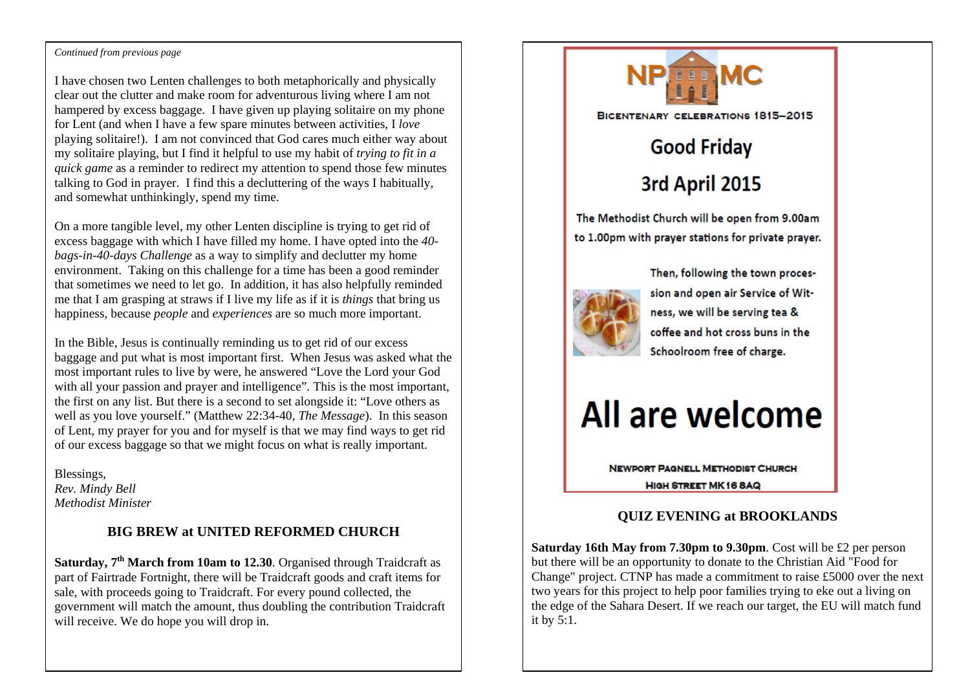#### Continued from previous page

I have chosen two Lenten challenges to both metaphorically and physically clear out the clutter and make room for adventurous living where I am not hampered by excess baggage. I have given up playing solitaire on my phone for Lent (and when I have a few spare minutes between activities, I *love* playing solitaire!). I am not convinced that God cares much either way about my solitaire playing, but I find it helpful to use my habit of *trying to fit in a quick game* as a reminder to redirect my attention to spend those few minutes talking to God in prayer. I find this a decluttering of the ways I habitually, and somewhat unthinkingly, spend my time.

On a more tangible level, my other Lenten discipline is trying to get rid of excess baggage with which I have filled my home. I have opted into the *40 bags-in-40-days Challenge* as a way to simplify and declutter my home environment. Taking on this challenge for a time has been a good reminder that sometimes we need to let go. In addition, it has also helpfully reminded me that I am grasping at straws if I live my life as if it is *things* that bring us happiness, because *people* and *experiences* are so much more important.

In the Bible, Jesus is continually reminding us to get rid of our excess baggage and put what is most important first. When Jesus was asked what the most important rules to live by were, he answered "Love the Lord your God with all your passion and prayer and intelligence". This is the most important, the first on any list. But there is a second to set alongside it: "Love others as well as you love yourself." (Matthew 22:34-40, *The Message*). In this season of Lent, my prayer for you and for myself is that we may find ways to get rid of our excess baggage so that we might focus on what is really important.

Blessings, *Rev. Mindy Bell Methodist Minister*

#### **BIG BREW at UNITED REFORMED CHURCH**

**Saturday, 7<sup>th</sup> March from 10am to 12.30**. Organised through Traidcraft as part of Fairtrade Fortnight, there will be Traidcraft goods and craft items for sale, with proceeds going to Traidcraft. For every pound collected, the government will match the amount, thus doubling the contribution Traidcraft will receive. We do hope you will drop in.



#### **QUIZ EVENING at BROOKLANDS**

**Saturday 16th May from 7.30pm to 9.30pm**. Cost will be £2 per person but there will be an opportunity to donate to the Christian Aid "Food for Change" project. CTNP has made a commitment to raise £5000 over the next two years for this project to help poor families trying to eke out a living on the edge of the Sahara Desert. If we reach our target, the EU will match fund it by 5:1.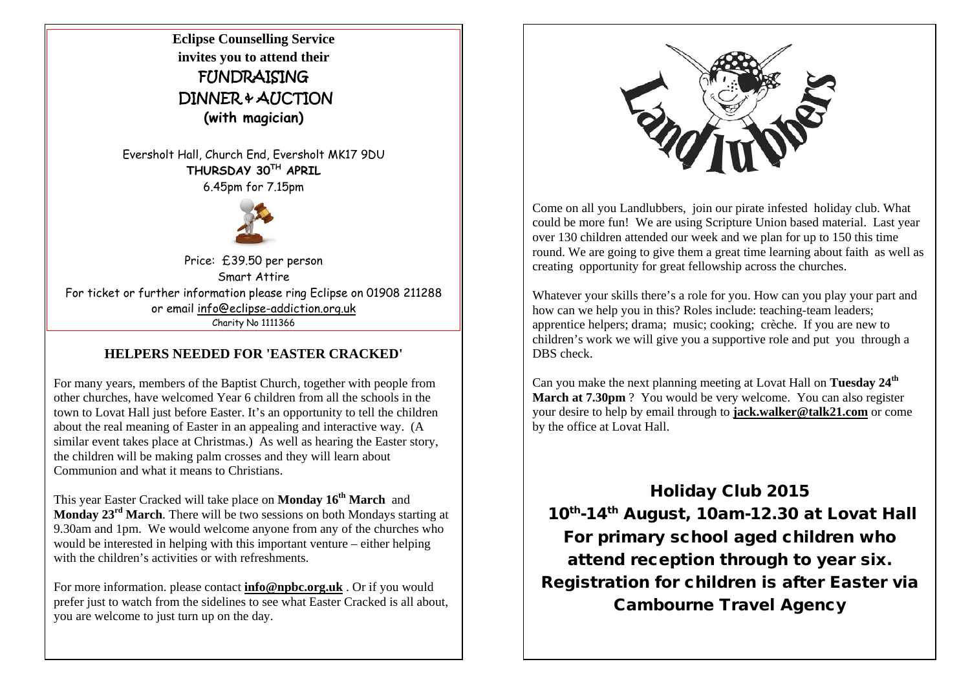**Eclipse Counselling Service invites you to attend their** FUNDRAISING DINNER & AUCTION **(with magician)**

Eversholt Hall, Church End, Eversholt MK17 9DU **THURSDAY 30TH APRIL** 

6.45pm for 7.15pm



Price: £39.50 per person Smart Attire For ticket or further information please ring Eclipse on 01908 211288 or email info@eclipse-addiction.org.uk Charity No 1111366

#### **HELPERS NEEDED FOR 'EASTER CRACKED'**

For many years, members of the Baptist Church, together with people from other churches, have welcomed Year 6 children from all the schools in the town to Lovat Hall just before Easter. It's an opportunity to tell the children about the real meaning of Easter in an appealing and interactive way. (A similar event takes place at Christmas.) As well as hearing the Easter story, the children will be making palm crosses and they will learn about Communion and what it means to Christians.

This year Easter Cracked will take place on **Monday 16th March** and **Monday 23rd March**. There will be two sessions on both Mondays starting at 9.30am and 1pm. We would welcome anyone from any of the churches who would be interested in helping with this important venture – either helping with the children's activities or with refreshments.

For more information. please contact **info@npbc.org.uk** . Or if you would prefer just to watch from the sidelines to see what Easter Cracked is all about, you are welcome to just turn up on the day.



Come on all you Landlubbers, join our pirate infested holiday club. What could be more fun! We are using Scripture Union based material. Last year over 130 children attended our week and we plan for up to 150 this time round. We are going to give them a great time learning about faith as well as creating opportunity for great fellowship across the churches.

Whatever your skills there's a role for you. How can you play your part and how can we help you in this? Roles include: teaching-team leaders; apprentice helpers; drama; music; cooking; crèche. If you are new to children's work we will give you a supportive role and put you through a DBS check.

Can you make the next planning meeting at Lovat Hall on **Tuesday 24th March at 7.30pm** ? You would be very welcome. You can also register your desire to help by email through to **jack.walker@talk21.com** or come by the office at Lovat Hall.

Holiday Club 2015 10<sup>th</sup>-14<sup>th</sup> August, 10am-12.30 at Lovat Hall For primary school aged children who attend reception through to year six. Registration for children is after Easter via Cambourne Travel Agency